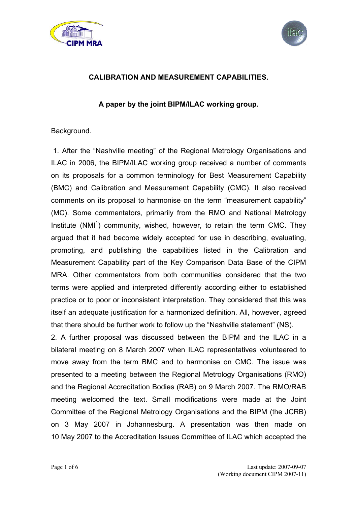



## **CALIBRATION AND MEASUREMENT CAPABILITIES.**

## **A paper by the joint BIPM/ILAC working group.**

Background.

 1. After the "Nashville meeting" of the Regional Metrology Organisations and ILAC in 2006, the BIPM/ILAC working group received a number of comments on its proposals for a common terminology for Best Measurement Capability (BMC) and Calibration and Measurement Capability (CMC). It also received comments on its proposal to harmonise on the term "measurement capability" (MC). Some commentators, primarily from the RMO and National Metrology Institute (NMI<sup>1</sup>) community, wished, however, to retain the term CMC. They argued that it had become widely accepted for use in describing, evaluating, promoting, and publishing the capabilities listed in the Calibration and Measurement Capability part of the Key Comparison Data Base of the CIPM MRA. Other commentators from both communities considered that the two terms were applied and interpreted differently according either to established practice or to poor or inconsistent interpretation. They considered that this was itself an adequate justification for a harmonized definition. All, however, agreed that there should be further work to follow up the "Nashville statement" (NS).

2. A further proposal was discussed between the BIPM and the ILAC in a bilateral meeting on 8 March 2007 when ILAC representatives volunteered to move away from the term BMC and to harmonise on CMC. The issue was presented to a meeting between the Regional Metrology Organisations (RMO) and the Regional Accreditation Bodies (RAB) on 9 March 2007. The RMO/RAB meeting welcomed the text. Small modifications were made at the Joint Committee of the Regional Metrology Organisations and the BIPM (the JCRB) on 3 May 2007 in Johannesburg. A presentation was then made on 10 May 2007 to the Accreditation Issues Committee of ILAC which accepted the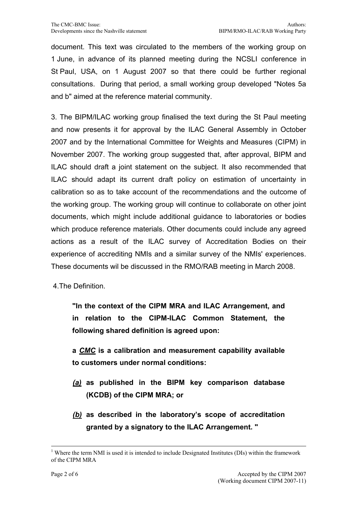document. This text was circulated to the members of the working group on 1 June, in advance of its planned meeting during the NCSLI conference in St Paul, USA, on 1 August 2007 so that there could be further regional consultations. During that period, a small working group developed "Notes 5a and b" aimed at the reference material community.

3. The BIPM/ILAC working group finalised the text during the St Paul meeting and now presents it for approval by the ILAC General Assembly in October 2007 and by the International Committee for Weights and Measures (CIPM) in November 2007. The working group suggested that, after approval, BIPM and ILAC should draft a joint statement on the subject. It also recommended that ILAC should adapt its current draft policy on estimation of uncertainty in calibration so as to take account of the recommendations and the outcome of the working group. The working group will continue to collaborate on other joint documents, which might include additional guidance to laboratories or bodies which produce reference materials. Other documents could include any agreed actions as a result of the ILAC survey of Accreditation Bodies on their experience of accrediting NMIs and a similar survey of the NMIs' experiences. These documents wil be discussed in the RMO/RAB meeting in March 2008.

4.The Definition.

**"In the context of the CIPM MRA and ILAC Arrangement, and in relation to the CIPM-ILAC Common Statement, the following shared definition is agreed upon:** 

**a** *CMC* **is a calibration and measurement capability available to customers under normal conditions:** 

- *(a)* **as published in the BIPM key comparison database (KCDB) of the CIPM MRA; or**
- *(b)* **as described in the laboratory's scope of accreditation granted by a signatory to the ILAC Arrangement. "**

1

<sup>&</sup>lt;sup>1</sup> Where the term NMI is used it is intended to include Designated Institutes (DIs) within the framework of the CIPM MRA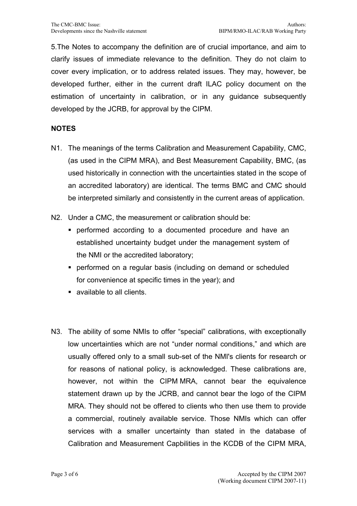5.The Notes to accompany the definition are of crucial importance, and aim to clarify issues of immediate relevance to the definition. They do not claim to cover every implication, or to address related issues. They may, however, be developed further, either in the current draft ILAC policy document on the estimation of uncertainty in calibration, or in any guidance subsequently developed by the JCRB, for approval by the CIPM.

## **NOTES**

- N1. The meanings of the terms Calibration and Measurement Capability, CMC, (as used in the CIPM MRA), and Best Measurement Capability, BMC, (as used historically in connection with the uncertainties stated in the scope of an accredited laboratory) are identical. The terms BMC and CMC should be interpreted similarly and consistently in the current areas of application.
- N2. Under a CMC, the measurement or calibration should be:
	- performed according to a documented procedure and have an established uncertainty budget under the management system of the NMI or the accredited laboratory;
	- performed on a regular basis (including on demand or scheduled for convenience at specific times in the year); and
	- available to all clients.
- N3. The ability of some NMIs to offer "special" calibrations, with exceptionally low uncertainties which are not "under normal conditions," and which are usually offered only to a small sub-set of the NMI's clients for research or for reasons of national policy, is acknowledged. These calibrations are, however, not within the CIPM MRA, cannot bear the equivalence statement drawn up by the JCRB, and cannot bear the logo of the CIPM MRA. They should not be offered to clients who then use them to provide a commercial, routinely available service. Those NMIs which can offer services with a smaller uncertainty than stated in the database of Calibration and Measurement Capbilities in the KCDB of the CIPM MRA,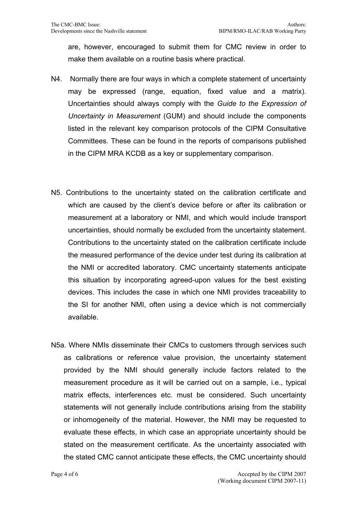are, however, encouraged to submit them for CMC review in order to make them available on a routine basis where practical.

- N4. Normally there are four ways in which a complete statement of uncertainty may be expressed (range, equation, fixed value and a matrix). Uncertainties should always comply with the *Guide to the Expression of Uncertainty in Measurement* (GUM) and should include the components listed in the relevant key comparison protocols of the CIPM Consultative Committees. These can be found in the reports of comparisons published in the CIPM MRA KCDB as a key or supplementary comparison.
- N5. Contributions to the uncertainty stated on the calibration certificate and which are caused by the client's device before or after its calibration or measurement at a laboratory or NMI, and which would include transport uncertainties, should normally be excluded from the uncertainty statement. Contributions to the uncertainty stated on the calibration certificate include the measured performance of the device under test during its calibration at the NMI or accredited laboratory. CMC uncertainty statements anticipate this situation by incorporating agreed-upon values for the best existing devices. This includes the case in which one NMI provides traceability to the SI for another NMI, often using a device which is not commercially available.
- N5a. Where NMIs disseminate their CMCs to customers through services such as calibrations or reference value provision, the uncertainty statement provided by the NMI should generally include factors related to the measurement procedure as it will be carried out on a sample, i.e., typical matrix effects, interferences etc. must be considered. Such uncertainty statements will not generally include contributions arising from the stability or inhomogeneity of the material. However, the NMI may be requested to evaluate these effects, in which case an appropriate uncertainty should be stated on the measurement certificate. As the uncertainty associated with the stated CMC cannot anticipate these effects, the CMC uncertainty should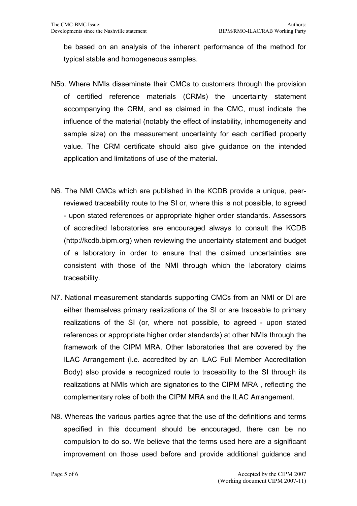be based on an analysis of the inherent performance of the method for typical stable and homogeneous samples.

- N5b. Where NMIs disseminate their CMCs to customers through the provision of certified reference materials (CRMs) the uncertainty statement accompanying the CRM, and as claimed in the CMC, must indicate the influence of the material (notably the effect of instability, inhomogeneity and sample size) on the measurement uncertainty for each certified property value. The CRM certificate should also give guidance on the intended application and limitations of use of the material.
- N6. The NMI CMCs which are published in the KCDB provide a unique, peerreviewed traceability route to the SI or, where this is not possible, to agreed - upon stated references or appropriate higher order standards. Assessors of accredited laboratories are encouraged always to consult the KCDB (http://kcdb.bipm.org) when reviewing the uncertainty statement and budget of a laboratory in order to ensure that the claimed uncertainties are consistent with those of the NMI through which the laboratory claims traceability.
- N7. National measurement standards supporting CMCs from an NMI or DI are either themselves primary realizations of the SI or are traceable to primary realizations of the SI (or, where not possible, to agreed - upon stated references or appropriate higher order standards) at other NMIs through the framework of the CIPM MRA. Other laboratories that are covered by the ILAC Arrangement (i.e. accredited by an ILAC Full Member Accreditation Body) also provide a recognized route to traceability to the SI through its realizations at NMIs which are signatories to the CIPM MRA , reflecting the complementary roles of both the CIPM MRA and the ILAC Arrangement.
- N8. Whereas the various parties agree that the use of the definitions and terms specified in this document should be encouraged, there can be no compulsion to do so. We believe that the terms used here are a significant improvement on those used before and provide additional guidance and